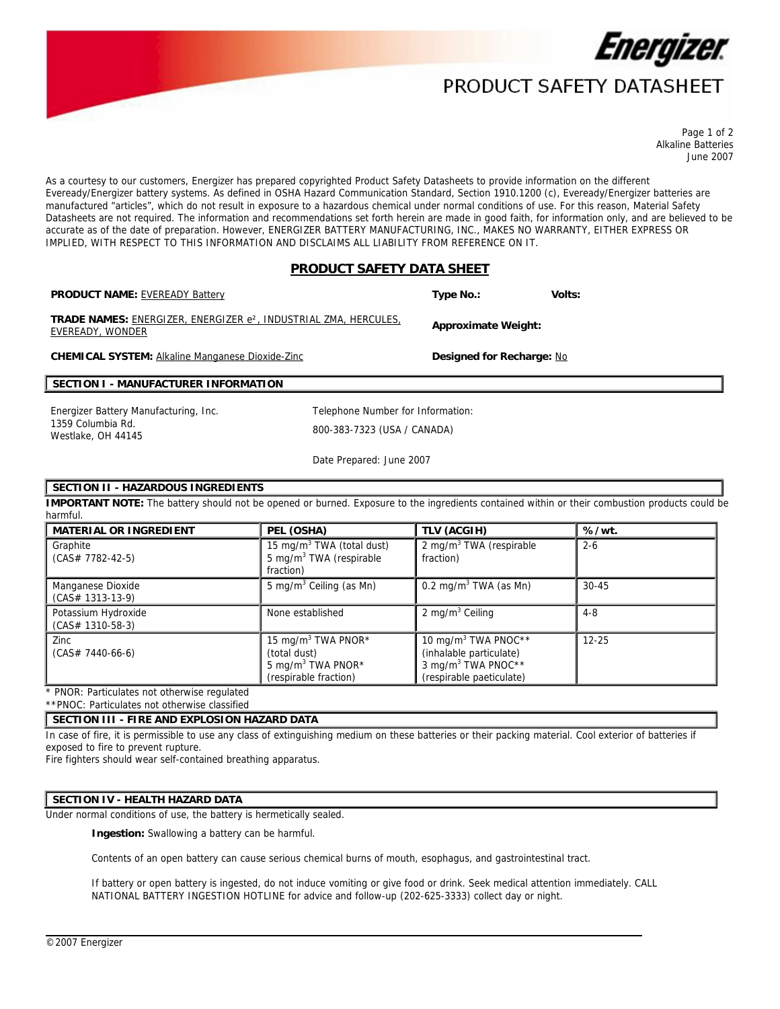

# PRODUCT SAFETY DATASHEET

Page 1 of 2 Alkaline Batteries June 2007

As a courtesy to our customers, Energizer has prepared copyrighted Product Safety Datasheets to provide information on the different Eveready/Energizer battery systems. As defined in OSHA Hazard Communication Standard, Section 1910.1200 (c), Eveready/Energizer batteries are manufactured "articles", which do not result in exposure to a hazardous chemical under normal conditions of use. For this reason, Material Safety Datasheets are not required. The information and recommendations set forth herein are made in good faith, for information only, and are believed to be accurate as of the date of preparation. However, ENERGIZER BATTERY MANUFACTURING, INC., MAKES NO WARRANTY, EITHER EXPRESS OR IMPLIED, WITH RESPECT TO THIS INFORMATION AND DISCLAIMS ALL LIABILITY FROM REFERENCE ON IT.

## **PRODUCT SAFETY DATA SHEET**

**PRODUCT NAME:** EVEREADY Battery **Type No.: Type No.: Volts: TRADE NAMES:** ENERGIZER, ENERGIZER e², INDUSTRIAL ZMA, HERCULES, EVEREADY, WONDER **Approximate Weight:**

**CHEMICAL SYSTEM:** Alkaline Manganese Dioxide-Zinc **Designed for Recharge:** No

### **SECTION I - MANUFACTURER INFORMATION**

Energizer Battery Manufacturing, Inc. Telephone Number for Information: 1359 Columbia Rd. Westlake, OH 44145 800-383-7323 (USA / CANADA)

Date Prepared: June 2007

#### **SECTION II - HAZARDOUS INGREDIENTS**

**IMPORTANT NOTE:** The battery should not be opened or burned. Exposure to the ingredients contained within or their combustion products could be harmful.

| <b>MATERIAL OR INGREDIENT</b>             | PEL (OSHA)                                                                                               | TLV (ACGIH)                                                                                                              | $%$ /wt.  |
|-------------------------------------------|----------------------------------------------------------------------------------------------------------|--------------------------------------------------------------------------------------------------------------------------|-----------|
| Graphite<br>$(CAS# 7782-42-5)$            | 15 mg/m <sup>3</sup> TWA (total dust)<br>5 mg/m <sup>3</sup> TWA (respirable<br>fraction)                | 2 mg/m <sup>3</sup> TWA (respirable<br>fraction)                                                                         | $2 - 6$   |
| Manganese Dioxide<br>$(CAS# 1313-13-9)$   | 5 mg/m <sup>3</sup> Ceiling (as Mn)                                                                      | 0.2 mg/m <sup>3</sup> TWA (as Mn)                                                                                        | $30 - 45$ |
| Potassium Hydroxide<br>$(CAS# 1310-58-3)$ | None established                                                                                         | 2 mg/m <sup>3</sup> Ceiling                                                                                              | $4 - 8$   |
| Zinc<br>$(CAS# 7440-66-6)$                | 15 mg/m <sup>3</sup> TWA PNOR*<br>(total dust)<br>5 mg/m <sup>3</sup> TWA PNOR*<br>(respirable fraction) | 10 mg/m <sup>3</sup> TWA PNOC**<br>(inhalable particulate)<br>3 mg/m <sup>3</sup> TWA PNOC**<br>(respirable paeticulate) | $12 - 25$ |

\* PNOR: Particulates not otherwise regulated

\*\*PNOC: Particulates not otherwise classified

# **SECTION III - FIRE AND EXPLOSION HAZARD DATA**

In case of fire, it is permissible to use any class of extinguishing medium on these batteries or their packing material. Cool exterior of batteries if exposed to fire to prevent rupture.

Fire fighters should wear self-contained breathing apparatus.

### **SECTION IV - HEALTH HAZARD DATA**

Under normal conditions of use, the battery is hermetically sealed.

**Ingestion:** Swallowing a battery can be harmful.

Contents of an open battery can cause serious chemical burns of mouth, esophagus, and gastrointestinal tract.

If battery or open battery is ingested, do not induce vomiting or give food or drink. Seek medical attention immediately. CALL NATIONAL BATTERY INGESTION HOTLINE for advice and follow-up (202-625-3333) collect day or night.

 $\overline{\phantom{a}}$